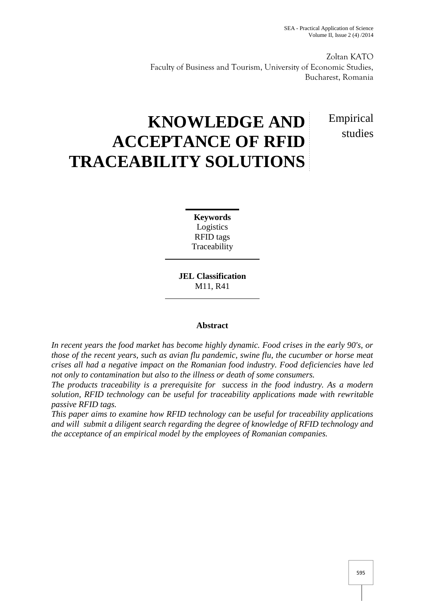studies

Zoltan KATO Faculty of Business and Tourism, University of Economic Studies, Bucharest, Romania

# **KNOWLEDGE AND ACCEPTANCE OF RFID TRACEABILITY SOLUTIONS** Empirical

**Keywords** Logistics RFID tags **Traceability** 

**JEL Classification** M11, R41

## **Abstract**

*In recent years the food market has become highly dynamic. Food crises in the early 90's, or those of the recent years, such as avian flu pandemic, swine flu, the cucumber or horse meat crises all had a negative impact on the Romanian food industry. Food deficiencies have led not only to contamination but also to the illness or death of some consumers.*

*The products traceability is a prerequisite for success in the food industry. As a modern solution, RFID technology can be useful for traceability applications made with rewritable passive RFID tags.*

*This paper aims to examine how RFID technology can be useful for traceability applications and will submit a diligent search regarding the degree of knowledge of RFID technology and the acceptance of an empirical model by the employees of Romanian companies.*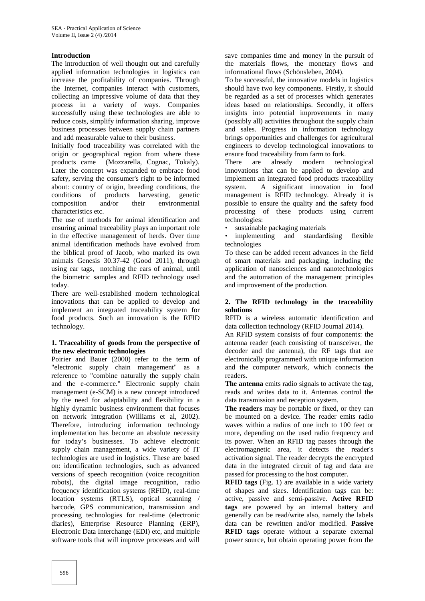## **Introduction**

The introduction of well thought out and carefully applied information technologies in logistics can increase the profitability of companies. Through the Internet, companies interact with customers, collecting an impressive volume of data that they process in a variety of ways. Companies successfully using these technologies are able to reduce costs, simplify information sharing, improve business processes between supply chain partners and add measurable value to their business.

Initially food traceability was correlated with the origin or geographical region from where these products came (Mozzarella, Cognac, Tokaly). Later the concept was expanded to embrace food safety, serving the consumer's right to be informed about: country of origin, breeding conditions, the conditions of products harvesting, genetic composition and/or their environmental characteristics etc.

The use of methods for animal identification and ensuring animal traceability plays an important role in the effective management of herds. Over time animal identification methods have evolved from the biblical proof of Jacob, who marked its own animals Genesis 30.37-42 (Good 2011), through using ear tags, notching the ears of animal, until the biometric samples and RFID technology used today.

There are well-established modern technological innovations that can be applied to develop and implement an integrated traceability system for food products. Such an innovation is the RFID technology.

### **1. Traceability of goods from the perspective of the new electronic technologies**

Poirier and Bauer (2000) refer to the term of "electronic supply chain management" as a reference to "combine naturally the supply chain and the e-commerce." Electronic supply chain management (e-SCM) is a new concept introduced by the need for adaptability and flexibility in a highly dynamic business environment that focuses on network integration (Williams et al, 2002). Therefore, introducing information technology implementation has become an absolute necessity for today's businesses. To achieve electronic supply chain management, a wide variety of IT technologies are used in logistics. These are based on: identification technologies, such as advanced versions of speech recognition (voice recognition robots), the digital image recognition, radio frequency identification systems (RFID), real-time location systems (RTLS), optical scanning / barcode, GPS communication, transmission and processing technologies for real-time (electronic diaries), Enterprise Resource Planning (ERP), Electronic Data Interchange (EDI) etc, and multiple software tools that will improve processes and will

save companies time and money in the pursuit of the materials flows, the monetary flows and informational flows (Schönsleben, 2004).

To be successful, the innovative models in logistics should have two key components. Firstly, it should be regarded as a set of processes which generates ideas based on relationships. Secondly, it offers insights into potential improvements in many (possibly all) activities throughout the supply chain and sales. Progress in information technology brings opportunities and challenges for agricultural engineers to develop technological innovations to ensure food traceability from farm to fork.

There are already modern technological innovations that can be applied to develop and implement an integrated food products traceability system. A significant innovation in food management is RFID technology. Already it is possible to ensure the quality and the safety food processing of these products using current technologies:

sustainable packaging materials

• implementing and standardising flexible technologies

To these can be added recent advances in the field of smart materials and packaging, including the application of nanosciences and nanotechnologies and the automation of the management principles and improvement of the production.

### **2. The RFID technology in the traceability solutions**

RFID is a wireless automatic identification and data collection technology (RFID Journal 2014).

An RFID system consists of four components: the antenna reader (each consisting of transceiver, the decoder and the antenna), the RF tags that are electronically programmed with unique information and the computer network, which connects the readers.

**The antenna** emits radio signals to activate the tag, reads and writes data to it. Antennas control the data transmission and reception system.

**The readers** may be portable or fixed, or they can be mounted on a device. The reader emits radio waves within a radius of one inch to 100 feet or more, depending on the used radio frequency and its power. When an RFID tag passes through the electromagnetic area, it detects the reader's activation signal. The reader decrypts the encrypted data in the integrated circuit of tag and data are passed for processing to the host computer.

**RFID tags** (Fig. 1) are available in a wide variety of shapes and sizes. Identification tags can be: active, passive and semi-passive. **Active RFID tags** are powered by an internal battery and generally can be read/write also, namely the labels data can be rewritten and/or modified. **Passive RFID** tags operate without a separate external power source, but obtain operating power from the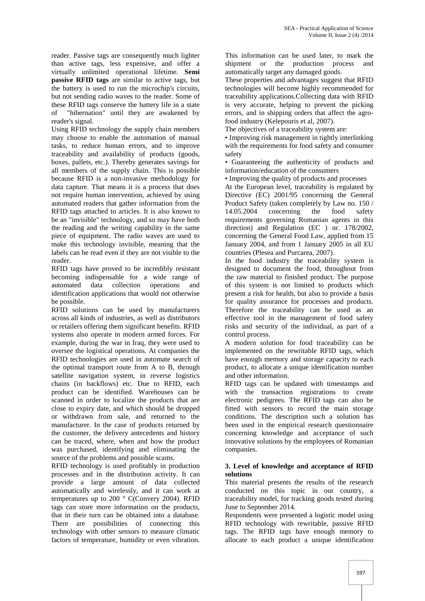reader. Passive tags are consequently much lighter than active tags, less expensive, and offer a virtually unlimited operational lifetime. **Semi passive RFID tags** are similar to active tags, but the battery is used to run the microchip's circuits, but not sending radio waves to the reader. Some of these RFID tags conserve the battery life in a state<br>of "hibernation" until they are awakened by "hibernation" until they are awakened by reader's signal.

Using RFID technology the supply chain members may choose to enable the automation of manual tasks, to reduce human errors, and to improve traceability and availability of products (goods, boxes, pallets, etc.). Thereby generates savings for all members of the supply chain. This is possible because RFID is a non-invasive methodology for data capture. That means it is a process that does not require human intervention, achieved by using automated readers that gather information from the RFID tags attached to articles. It is also known to 14.05.2004 be an "invisible" technology, and so may have both the reading and the writing capability in the same piece of equipment. The radio waves are used to make this technology invisible, meaning that the labels can be read even if they are not visible to the reader.

RFID tags have proved to be incredibly resistant becoming indispensable for a wide range of automated data collection operations and automated data collection operations and identification applications that would not otherwise be possible.

RFID solutions can be used by manufacturers across all kinds of industries, as well as distributors or retailers offering them significant benefits. RFID systems also operate in modern armed forces. For example, during the war in Iraq, they were used to oversee the logistical operations. At companies the RFID technologies are used in automate search of the optimal transport route from A to B, through satellite navigation system, in reverse logistics chains (in backflows) etc. Due to RFID, each product can be identified. Warehouses can be scanned in order to localize the products that are close to expiry date, and which should be dropped or withdrawn from sale, and returned to the manufacturer. In the case of products returned by the customer, the delivery antecedents and history can be traced, where, when and how the product was purchased, identifying and eliminating the source of the problems and possible scams.

RFID technology is used profitably in production processes and in the distribution activity. It can provide a large amount of data collected automatically and wirelessly, and it can work at temperatures up to 200 ° C(Convery 2004). RFID tags can store more information on the products, that in their turn can be obtained into a database. There are possibilities of connecting this technology with other sensors to measure climatic factors of temperature, humidity or even vibration.

This information can be used later, to mark the shipment or the production process and automatically target any damaged goods.

These properties and advantages suggest that RFID technologies will become highly recommended for traceability applications.Collecting data with RFID is very accurate, helping to prevent the picking errors, and in shipping orders that affect the agrofood industry (Kelepouris et al, 2007).

The objectives of a traceability system are:

• Improving risk management in tightly interlinking with the requirements for food safety and consumer safety

• Guaranteeing the authenticity of products and information/education of the consumers

• Improving the quality of products and processes

At the European level, traceability is regulated by Directive (EC) 2001/95 concerning the General Product Safety (taken completely by Law no. 150 / concerning the food safety requirements governing Romanian agents in this direction) and Regulation (EC ) nr. 178/2002, concerning the General Food Law, applied from 15 January 2004, and from 1 January 2005 in all EU countries (Plesea and Purcarea, 2007).

In the food industry the traceability system is designed to document the food, throughout from the raw material to finished product. The purpose of this system is not limited to products which present a risk for health, but also to provide a basis for quality assurance for processes and products. Therefore the traceability can be used as an effective tool in the management of food safety risks and security of the individual, as part of a control process.

A modern solution for food traceability can be implemented on the rewritable RFID tags, which have enough memory and storage capacity to each product, to allocate a unique identification number and other information.

RFID tags can be updated with timestamps and with the transaction registrations to create electronic pedigrees. The RFID tags can also be fitted with sensors to record the main storage conditions. The description such a solution has been used in the empirical research questionnaire concerning knowledge and acceptance of such innovative solutions by the employees of Romanian companies.

## **3. Level of knowledge and acceptance of RFID solutions**

This material presents the results of the research conducted on this topic in our country, a traceability model, for tracking goods tested during June to September 2014.

Respondents were presented a logistic model using RFID technology with rewritable, passive RFID tags. The RFID tags have enough memory to allocate to each product a unique identification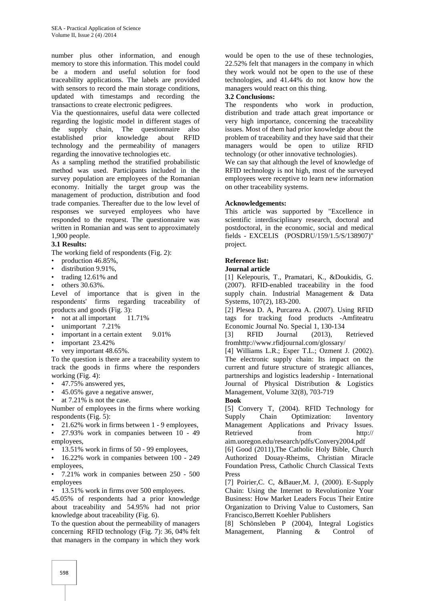number plus other information, and enough memory to store this information. This model could be a modern and useful solution for food traceability applications. The labels are provided with sensors to record the main storage conditions, updated with timestamps and recording the transactions to create electronic pedigrees.

Via the questionnaires, useful data were collected regarding the logistic model in different stages of the supply chain, The questionnaire also established prior knowledge about RFID technology and the permeability of managers regarding the innovative technologies etc.

As a sampling method the stratified probabilistic method was used. Participants included in the survey population are employees of the Romanian economy. Initially the target group was the management of production, distribution and food trade companies. Thereafter due to the low level of responses we surveyed employees who have responded to the request. The questionnaire was written in Romanian and was sent to approximately 1,900 people.

## **3.1 Results:**

The working field of respondents (Fig. 2):

- production 46.85%,
- distribution 9.91%,
- trading 12.61% and
- others 30.63%.

Level of importance that is given in the respondents' firms regarding traceability of products and goods (Fig. 3):

- not at all important 11.71%
- unimportant 7.21%
- important in a certain extent 9.01%
- important 23.42%
- very important 48.65%.

To the question is there are a traceability system to track the goods in firms where the responders working (Fig. 4):

- 47.75% answered yes,
- 45.05% gave a negative answer,
- at 7.21% is not the case.

Number of employees in the firms where working respondents (Fig. 5):

- 21.62% work in firms between 1 9 employees,
- 27.93% work in companies between 10 49 employees,
- 13.51% work in firms of 50 99 employees,

• 16.22% work in companies between 100 - 249 employees,

• 7.21% work in companies between 250 - 500 employees

• 13.51% work in firms over 500 employees.

45.05% of respondents had a prior knowledge about traceability and 54.95% had not prior knowledge about traceability (Fig. 6).

To the question about the permeability of managers concerning RFID technology (Fig. 7): 36, 04% felt that managers in the company in which they work

would be open to the use of these technologies, 22.52% felt that managers in the company in which they work would not be open to the use of these technologies, and 41.44% do not know how the managers would react on this thing.

## **3.2 Conclusions:**

The respondents who work in production, distribution and trade attach great importance or very high importance, concerning the traceability issues. Most of them had prior knowledge about the problem of traceability and they have said that their managers would be open to utilize RFID technology (or other innovative technologies).

We can say that although the level of knowledge of RFID technology is not high, most of the surveyed employees were receptive to learn new information on other traceability systems.

## **Acknowledgements:**

This article was supported by "Excellence in scientific interdisciplinary research, doctoral and postdoctoral, in the economic, social and medical fields - EXCELIS (POSDRU/159/1.5/S/138907)" project.

## **Reference list:**

#### **Journal article**

[1] Kelepouris, T., Pramatari, K., &Doukidis, G. (2007). RFID-enabled traceability in the food supply chain. Industrial Management & Data Systems, 107(2), 183-200.

[2] Plesea D. A, Purcarea A. (2007). Using RFID tags for tracking food products -Amfiteatru Economic Journal No. Special 1, 130-134

[3] RFID Journal (2013), Retrieved fromhttp://www.rfidjournal.com/glossary/

[4] Williams L.R.; Esper T.L.; Ozment J. (2002). The electronic supply chain: Its impact on the current and future structure of strategic alliances, partnerships and logistics leadership - International Journal of Physical Distribution & Logistics Management, Volume 32(8), 703-719

**Book** [5] Convery T, (2004). RFID Technology for Supply Chain Optimization: Inventory

Management Applications and Privacy Issues. Retrieved from http:// aim.uoregon.edu/research/pdfs/Convery2004.pdf

[6] Good (2011), The Catholic Holy Bible, Church Authorized Douay-Rheims, Christian Miracle Foundation Press, Catholic Church Classical Texts Press

[7] Poirier,C. C, &Bauer,M. J, (2000). E-Supply Chain: Using the Internet to Revolutionize Your Business: How Market Leaders Focus Their Entire Organization to Driving Value to Customers, San Francisco,Berrett Koehler Publishers

[8] Schönsleben P (2004), Integral Logistics Management, Planning & Control of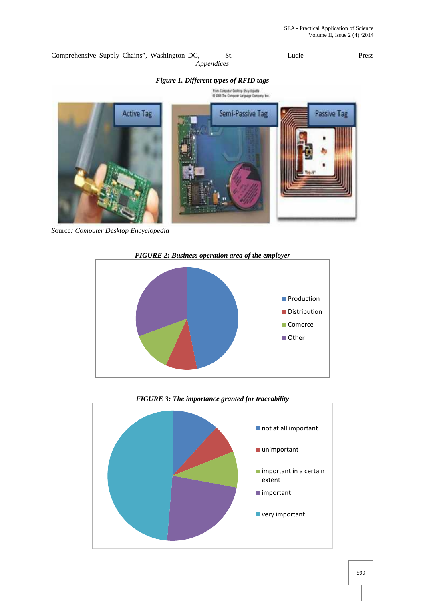Comprehensive Supply Chains", Washington DC, St. Lucie Press *Appendices*

## *Figure 1. Different types of RFID tags*



*S*ource*: Computer Desktop Encyclopedia*



*FIGURE 3: The importance granted for traceability*

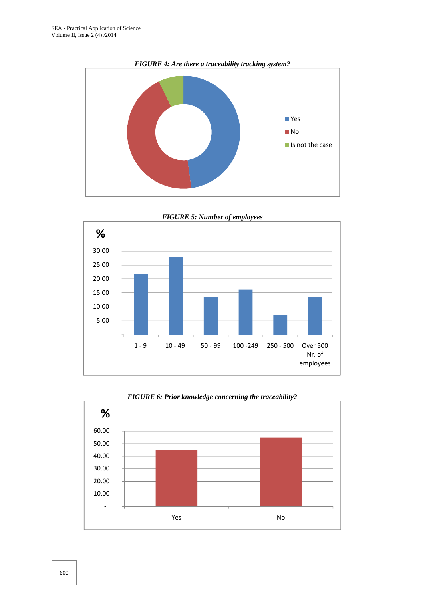

*FIGURE 5: Number of employees*





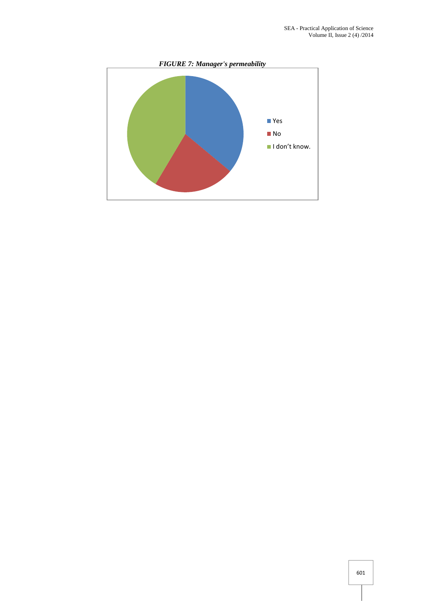